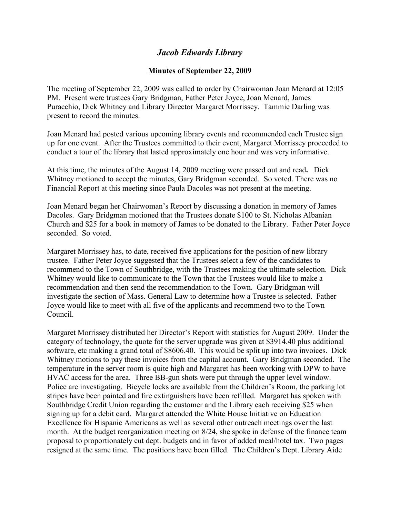## *Jacob Edwards Library*

## **Minutes of September 22, 2009**

The meeting of September 22, 2009 was called to order by Chairwoman Joan Menard at 12:05 PM. Present were trustees Gary Bridgman, Father Peter Joyce, Joan Menard, James Puracchio, Dick Whitney and Library Director Margaret Morrissey. Tammie Darling was present to record the minutes.

Joan Menard had posted various upcoming library events and recommended each Trustee sign up for one event. After the Trustees committed to their event, Margaret Morrissey proceeded to conduct a tour of the library that lasted approximately one hour and was very informative.

At this time, the minutes of the August 14, 2009 meeting were passed out and read**.** Dick Whitney motioned to accept the minutes, Gary Bridgman seconded. So voted. There was no Financial Report at this meeting since Paula Dacoles was not present at the meeting.

Joan Menard began her Chairwoman's Report by discussing a donation in memory of James Dacoles. Gary Bridgman motioned that the Trustees donate \$100 to St. Nicholas Albanian Church and \$25 for a book in memory of James to be donated to the Library. Father Peter Joyce seconded. So voted.

Margaret Morrissey has, to date, received five applications for the position of new library trustee. Father Peter Joyce suggested that the Trustees select a few of the candidates to recommend to the Town of Southbridge, with the Trustees making the ultimate selection. Dick Whitney would like to communicate to the Town that the Trustees would like to make a recommendation and then send the recommendation to the Town. Gary Bridgman will investigate the section of Mass. General Law to determine how a Trustee is selected. Father Joyce would like to meet with all five of the applicants and recommend two to the Town Council.

Margaret Morrissey distributed her Director's Report with statistics for August 2009. Under the category of technology, the quote for the server upgrade was given at \$3914.40 plus additional software, etc making a grand total of \$8606.40. This would be split up into two invoices. Dick Whitney motions to pay these invoices from the capital account. Gary Bridgman seconded. The temperature in the server room is quite high and Margaret has been working with DPW to have HVAC access for the area. Three BB-gun shots were put through the upper level window. Police are investigating. Bicycle locks are available from the Children's Room, the parking lot stripes have been painted and fire extinguishers have been refilled. Margaret has spoken with Southbridge Credit Union regarding the customer and the Library each receiving \$25 when signing up for a debit card. Margaret attended the White House Initiative on Education Excellence for Hispanic Americans as well as several other outreach meetings over the last month. At the budget reorganization meeting on 8/24, she spoke in defense of the finance team proposal to proportionately cut dept. budgets and in favor of added meal/hotel tax. Two pages resigned at the same time. The positions have been filled. The Children's Dept. Library Aide